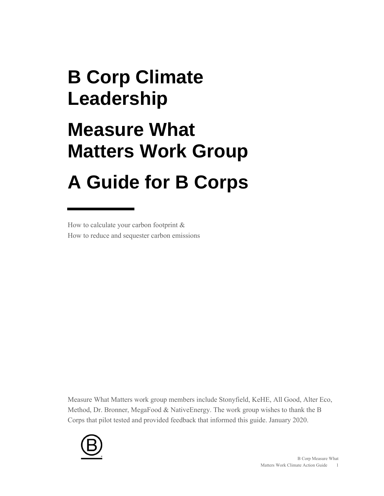# **B Corp Climate Leadership Measure What Matters Work Group A Guide for B Corps**

How to calculate your carbon footprint & How to reduce and sequester carbon emissions

Measure What Matters work group members include Stonyfield, KeHE, All Good, Alter Eco, Method, Dr. Bronner, MegaFood & NativeEnergy. The work group wishes to thank the B Corps that pilot tested and provided feedback that informed this guide. January 2020.

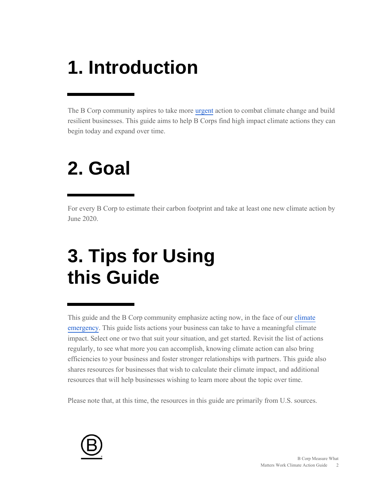# **1. Introduction**

The B Corp community aspires to take more [urgent](https://www.bcorpclimatecollective.org/resources) action to combat climate change and build resilient businesses. This guide aims to help B Corps find high impact climate actions they can begin today and expand over time.

### **2. Goal**

For every B Corp to estimate their carbon footprint and take at least one new climate action by June 2020.

## **3. Tips for Using this Guide**

This guide and the B Corp community emphasize acting now, in the face of our [climate](https://www.bcorpclimatecollective.org/)  [emergency.](https://www.bcorpclimatecollective.org/) This guide lists actions your business can take to have a meaningful climate impact. Select one or two that suit your situation, and get started. Revisit the list of actions regularly, to see what more you can accomplish, knowing climate action can also bring efficiencies to your business and foster stronger relationships with partners. This guide also shares resources for businesses that wish to calculate their climate impact, and additional resources that will help businesses wishing to learn more about the topic over time.

Please note that, at this time, the resources in this guide are primarily from U.S. sources.

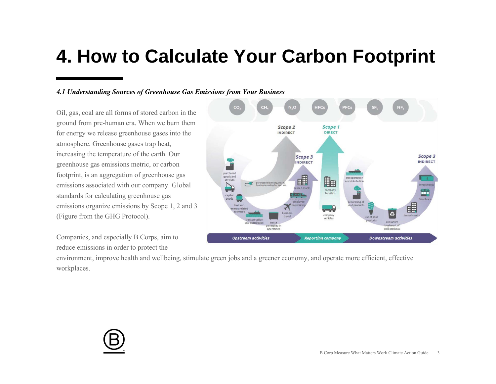### **4. How to Calculate Your Carbon Footprint**

#### *4.1 Understanding Sources of Greenhouse Gas Emissions from Your Business*

Oil, gas, coal are all forms of stored carbon in the ground from pre-human era. When we burn them for energy we release greenhouse gases into the atmosphere. Greenhouse gases trap heat, increasing the temperature of the earth. Our greenhouse gas emissions metric, or carbon footprint, is an aggregation of greenhouse gas emissions associated with our company. Global standards for calculating greenhouse gas emissions organize emissions by Scope 1, 2 and 3 (Figure from the GHG Protocol).

Companies, and especially B Corps, aim to reduce emissions in order to protect the



environment, improve health and wellbeing, stimulate green jobs and a greener economy, and operate more efficient, effective workplaces.

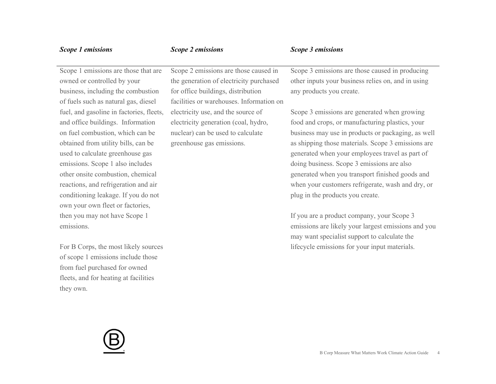| Scope 1 emissions                        | Scope 2 emissions                        | Scope 3 emissions                                   |
|------------------------------------------|------------------------------------------|-----------------------------------------------------|
| Scope 1 emissions are those that are     | Scope 2 emissions are those caused in    | Scope 3 emissions are those caused in producing     |
| owned or controlled by your              | the generation of electricity purchased  | other inputs your business relies on, and in using  |
| business, including the combustion       | for office buildings, distribution       | any products you create.                            |
| of fuels such as natural gas, diesel     | facilities or warehouses. Information on |                                                     |
| fuel, and gasoline in factories, fleets, | electricity use, and the source of       | Scope 3 emissions are generated when growing        |
| and office buildings. Information        | electricity generation (coal, hydro,     | food and crops, or manufacturing plastics, your     |
| on fuel combustion, which can be         | nuclear) can be used to calculate        | business may use in products or packaging, as well  |
| obtained from utility bills, can be      | greenhouse gas emissions.                | as shipping those materials. Scope 3 emissions are  |
| used to calculate greenhouse gas         |                                          | generated when your employees travel as part of     |
| emissions. Scope 1 also includes         |                                          | doing business. Scope 3 emissions are also          |
| other onsite combustion, chemical        |                                          | generated when you transport finished goods and     |
| reactions, and refrigeration and air     |                                          | when your customers refrigerate, wash and dry, or   |
| conditioning leakage. If you do not      |                                          | plug in the products you create.                    |
| own your own fleet or factories,         |                                          |                                                     |
| then you may not have Scope 1            |                                          | If you are a product company, your Scope 3          |
| emissions.                               |                                          | emissions are likely your largest emissions and you |
|                                          |                                          | may want specialist support to calculate the        |
| For B Corps, the most likely sources     |                                          | lifecycle emissions for your input materials.       |
| of scope 1 emissions include those       |                                          |                                                     |
| from fuel purchased for owned            |                                          |                                                     |
| fleets, and for heating at facilities    |                                          |                                                     |
| they own.                                |                                          |                                                     |

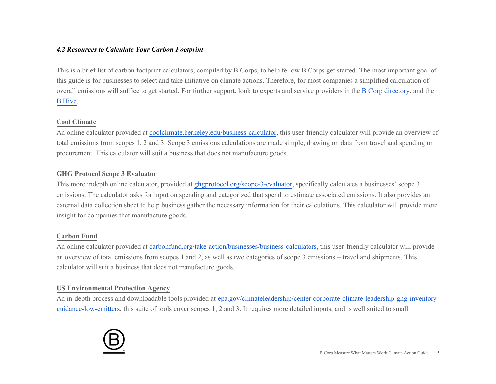#### *4.2 Resources to Calculate Your Carbon Footprint*

This is a brief list of carbon footprint calculators, compiled by B Corps, to help fellow B Corps get started. The most important goal of this guide is for businesses to select and take initiative on climate actions. Therefore, for most companies a simplified calculation of overall emissions will suffice to get started. For further support, look to experts and service providers in the [B Corp directory,](https://bcorporation.net/directory) and the [B Hive.](https://connect.bcorporation.net/BHiveLogin)

#### **Cool Climate**

An online calculator provided at [coolclimate.berkeley.edu/business-calculator,](https://coolclimate.berkeley.edu/business-calculator) this user-friendly calculator will provide an overview of total emissions from scopes 1, 2 and 3. Scope 3 emissions calculations are made simple, drawing on data from travel and spending on procurement. This calculator will suit a business that does not manufacture goods.

#### **GHG Protocol Scope 3 Evaluator**

This more indepth online calculator, provided at [ghgprotocol.org/scope-3-evaluator,](https://ghgprotocol.org/scope-3-evaluator) specifically calculates a businesses' scope 3 emissions. The calculator asks for input on spending and categorized that spend to estimate associated emissions. It also provides an external data collection sheet to help business gather the necessary information for their calculations. This calculator will provide more insight for companies that manufacture goods.

#### **Carbon Fund**

An online calculator provided at [carbonfund.org/take-action/businesses/business-calculators,](https://carbonfund.org/take-action/businesses/business-calculators/) this user-friendly calculator will provide an overview of total emissions from scopes 1 and 2, as well as two categories of scope 3 emissions – travel and shipments. This calculator will suit a business that does not manufacture goods.

#### **US Environmental Protection Agency**

An in-depth process and downloadable tools provided at [epa.gov/climateleadership/center-corporate-climate-leadership-ghg-inventory](https://www.epa.gov/climateleadership/center-corporate-climate-leadership-ghg-inventory-guidance-low-emitters)[guidance-low-emitters,](https://www.epa.gov/climateleadership/center-corporate-climate-leadership-ghg-inventory-guidance-low-emitters) this suite of tools cover scopes 1, 2 and 3. It requires more detailed inputs, and is well suited to small

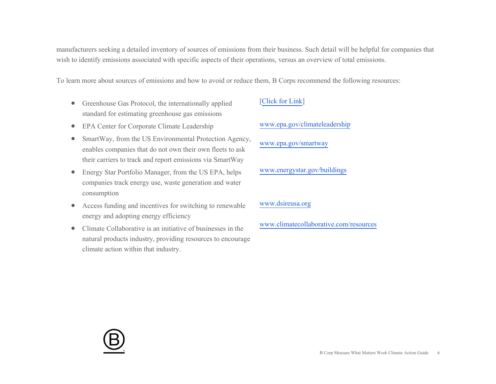manufacturers seeking a detailed inventory of sources of emissions from their business. Such detail will be helpful for companies that wish to identify emissions associated with specific aspects of their operations, versus an overview of total emissions.

To learn more about sources of emissions and how to avoid or reduce them, B Corps recommend the following resources:

- Greenhouse Gas Protocol, the internationally applied standard for estimating greenhouse gas emissions
- EPA Center for Corporate Climate Leadership
- SmartWay, from the US Environmental Protection Agency, enables companies that do not own their own fleets to ask their carriers to track and report emissions via SmartWay
- Energy Star Portfolio Manager, from the US EPA, helps companies track energy use, waste generation and water consumption
- Access funding and incentives for switching to renewable energy and adopting energy efficiency
- Climate Collaborative is an initiative of businesses in the natural products industry, providing resources to encourage climate action within that industry.

#### [\[Click for Link\]](http://www.ghgprotocol.org/sites/default/files/standards/ghg-protocol-revised.pdf)

[www.epa.gov/climateleadership](https://www.epa.gov/climateleadership)

[www.epa.gov/smartway](https://www.epa.gov/smartway) 

[www.energystar.gov/buildings](https://www.energystar.gov/buildings)

#### [www.dsireusa.org](http://www.dsireusa.org/)

[www.climatecollaborative.com/resources](https://www.climatecollaborative.com/resources)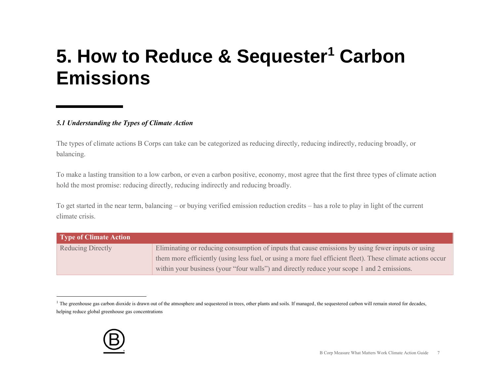## **5. How to Reduce & Sequester<sup>1</sup> Carbon Emissions**

#### *5.1 Understanding the Types of Climate Action*

The types of climate actions B Corps can take can be categorized as reducing directly, reducing indirectly, reducing broadly, or balancing.

To make a lasting transition to a low carbon, or even a carbon positive, economy, most agree that the first three types of climate action hold the most promise: reducing directly, reducing indirectly and reducing broadly.

To get started in the near term, balancing – or buying verified emission reduction credits – has a role to play in light of the current climate crisis.

| Type of Climate Action   |                                                                                                            |
|--------------------------|------------------------------------------------------------------------------------------------------------|
| <b>Reducing Directly</b> | Eliminating or reducing consumption of inputs that cause emissions by using fewer inputs or using          |
|                          | them more efficiently (using less fuel, or using a more fuel efficient fleet). These climate actions occur |
|                          | within your business (your "four walls") and directly reduce your scope 1 and 2 emissions.                 |

<sup>&</sup>lt;sup>1</sup> The greenhouse gas carbon dioxide is drawn out of the atmosphere and sequestered in trees, other plants and soils. If managed, the sequestered carbon will remain stored for decades, helping reduce global greenhouse gas concentrations

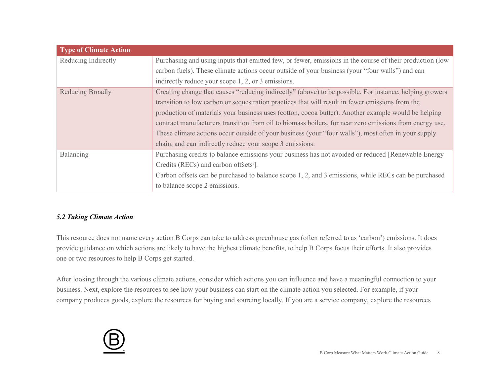| <b>Type of Climate Action</b> |                                                                                                                                                                                                                                                                                                                                                                                                                                                                                                                                                                                                  |
|-------------------------------|--------------------------------------------------------------------------------------------------------------------------------------------------------------------------------------------------------------------------------------------------------------------------------------------------------------------------------------------------------------------------------------------------------------------------------------------------------------------------------------------------------------------------------------------------------------------------------------------------|
| Reducing Indirectly           | Purchasing and using inputs that emitted few, or fewer, emissions in the course of their production (low<br>carbon fuels). These climate actions occur outside of your business (your "four walls") and can                                                                                                                                                                                                                                                                                                                                                                                      |
|                               | indirectly reduce your scope 1, 2, or 3 emissions.                                                                                                                                                                                                                                                                                                                                                                                                                                                                                                                                               |
| Reducing Broadly              | Creating change that causes "reducing indirectly" (above) to be possible. For instance, helping growers<br>transition to low carbon or sequestration practices that will result in fewer emissions from the<br>production of materials your business uses (cotton, cocoa butter). Another example would be helping<br>contract manufacturers transition from oil to biomass boilers, for near zero emissions from energy use.<br>These climate actions occur outside of your business (your "four walls"), most often in your supply<br>chain, and can indirectly reduce your scope 3 emissions. |
| Balancing                     | Purchasing credits to balance emissions your business has not avoided or reduced [Renewable Energy<br>Credits (RECs) and carbon offsets <sup>i</sup> ].<br>Carbon offsets can be purchased to balance scope 1, 2, and 3 emissions, while RECs can be purchased<br>to balance scope 2 emissions.                                                                                                                                                                                                                                                                                                  |

#### *5.2 Taking Climate Action*

This resource does not name every action B Corps can take to address greenhouse gas (often referred to as 'carbon') emissions. It does provide guidance on which actions are likely to have the highest climate benefits, to help B Corps focus their efforts. It also provides one or two resources to help B Corps get started.

After looking through the various climate actions, consider which actions you can influence and have a meaningful connection to your business. Next, explore the resources to see how your business can start on the climate action you selected. For example, if your company produces goods, explore the resources for buying and sourcing locally. If you are a service company, explore the resources

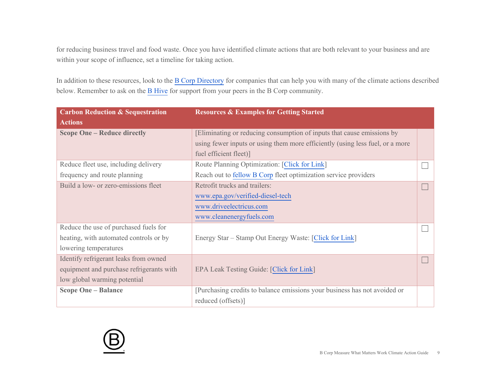for reducing business travel and food waste. Once you have identified climate actions that are both relevant to your business and are within your scope of influence, set a timeline for taking action.

In addition to these resources, look to the [B Corp Directory](https://bcorporation.net/directory?search=&industry=Carbon%20Capture%20%26%20Credits&country=&state=&city=%22) for companies that can help you with many of the climate actions described below. Remember to ask on the [B Hive](https://connect.bcorporation.net/BHiveLogin) for support from your peers in the B Corp community.

| <b>Carbon Reduction &amp; Sequestration</b> | <b>Resources &amp; Examples for Getting Started</b>                           |  |
|---------------------------------------------|-------------------------------------------------------------------------------|--|
| <b>Actions</b>                              |                                                                               |  |
| <b>Scope One - Reduce directly</b>          | Eliminating or reducing consumption of inputs that cause emissions by         |  |
|                                             | using fewer inputs or using them more efficiently (using less fuel, or a more |  |
|                                             | fuel efficient fleet)]                                                        |  |
| Reduce fleet use, including delivery        | Route Planning Optimization: [Click for Link]                                 |  |
| frequency and route planning                | Reach out to fellow B Corp fleet optimization service providers               |  |
| Build a low- or zero-emissions fleet        | Retrofit trucks and trailers:                                                 |  |
|                                             | www.epa.gov/verified-diesel-tech                                              |  |
|                                             | www.driveelectricus.com                                                       |  |
|                                             | www.cleanenergyfuels.com                                                      |  |
| Reduce the use of purchased fuels for       |                                                                               |  |
| heating, with automated controls or by      | Energy Star – Stamp Out Energy Waste: [Click for Link]                        |  |
| lowering temperatures                       |                                                                               |  |
| Identify refrigerant leaks from owned       |                                                                               |  |
| equipment and purchase refrigerants with    | EPA Leak Testing Guide: [Click for Link]                                      |  |
| low global warming potential                |                                                                               |  |
| <b>Scope One - Balance</b>                  | [Purchasing credits to balance emissions your business has not avoided or     |  |
|                                             | reduced (offsets)]                                                            |  |

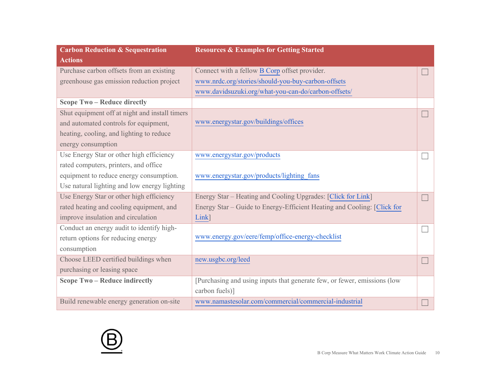| <b>Carbon Reduction &amp; Sequestration</b>    | <b>Resources &amp; Examples for Getting Started</b>                      |  |
|------------------------------------------------|--------------------------------------------------------------------------|--|
| <b>Actions</b>                                 |                                                                          |  |
| Purchase carbon offsets from an existing       | Connect with a fellow B Corp offset provider.                            |  |
| greenhouse gas emission reduction project      | www.nrdc.org/stories/should-you-buy-carbon-offsets                       |  |
|                                                | www.davidsuzuki.org/what-you-can-do/carbon-offsets/                      |  |
| <b>Scope Two - Reduce directly</b>             |                                                                          |  |
| Shut equipment off at night and install timers |                                                                          |  |
| and automated controls for equipment,          | www.energystar.gov/buildings/offices                                     |  |
| heating, cooling, and lighting to reduce       |                                                                          |  |
| energy consumption                             |                                                                          |  |
| Use Energy Star or other high efficiency       | www.energystar.gov/products                                              |  |
| rated computers, printers, and office          |                                                                          |  |
| equipment to reduce energy consumption.        | www.energystar.gov/products/lighting fans                                |  |
| Use natural lighting and low energy lighting   |                                                                          |  |
| Use Energy Star or other high efficiency       | Energy Star - Heating and Cooling Upgrades: [Click for Link]             |  |
| rated heating and cooling equipment, and       | Energy Star – Guide to Energy-Efficient Heating and Cooling: [Click for  |  |
| improve insulation and circulation             | Link]                                                                    |  |
| Conduct an energy audit to identify high-      |                                                                          |  |
| return options for reducing energy             | www.energy.gov/eere/femp/office-energy-checklist                         |  |
| consumption                                    |                                                                          |  |
| Choose LEED certified buildings when           | new.usgbc.org/leed                                                       |  |
| purchasing or leasing space                    |                                                                          |  |
| <b>Scope Two - Reduce indirectly</b>           | [Purchasing and using inputs that generate few, or fewer, emissions (low |  |
|                                                | carbon fuels)]                                                           |  |
| Build renewable energy generation on-site      | www.namastesolar.com/commercial/commercial-industrial                    |  |

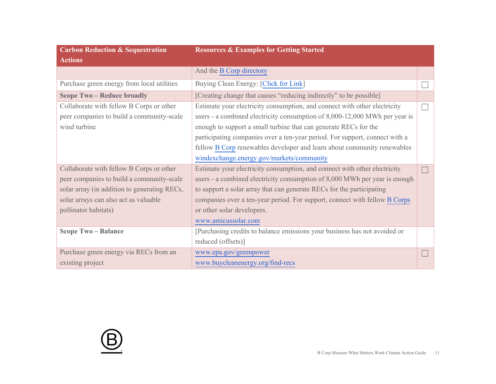| <b>Carbon Reduction &amp; Sequestration</b>  | <b>Resources &amp; Examples for Getting Started</b>                         |  |
|----------------------------------------------|-----------------------------------------------------------------------------|--|
| <b>Actions</b>                               |                                                                             |  |
|                                              | And the B Corp directory                                                    |  |
| Purchase green energy from local utilities   | Buying Clean Energy: [Click for Link]                                       |  |
| <b>Scope Two - Reduce broadly</b>            | [Creating change that causes "reducing indirectly" to be possible]          |  |
| Collaborate with fellow B Corps or other     | Estimate your electricity consumption, and connect with other electricity   |  |
| peer companies to build a community-scale    | users - a combined electricity consumption of 8,000-12,000 MWh per year is  |  |
| wind turbine                                 | enough to support a small turbine that can generate RECs for the            |  |
|                                              | participating companies over a ten-year period. For support, connect with a |  |
|                                              | fellow B Corp renewables developer and learn about community renewables     |  |
|                                              | windexchange.energy.gov/markets/community                                   |  |
| Collaborate with fellow B Corps or other     | Estimate your electricity consumption, and connect with other electricity   |  |
| peer companies to build a community-scale    | users - a combined electricity consumption of 8,000 MWh per year is enough  |  |
| solar array (in addition to generating RECs, | to support a solar array that can generate RECs for the participating       |  |
| solar arrays can also act as valuable        | companies over a ten-year period. For support, connect with fellow B Corps  |  |
| pollinator habitats)                         | or other solar developers.                                                  |  |
|                                              | www.amicussolar.com                                                         |  |
| <b>Scope Two - Balance</b>                   | [Purchasing credits to balance emissions your business has not avoided or   |  |
|                                              | reduced (offsets)]                                                          |  |
| Purchase green energy via RECs from an       | www.epa.gov/greenpower                                                      |  |
| existing project                             | www.buycleanenergy.org/find-recs                                            |  |

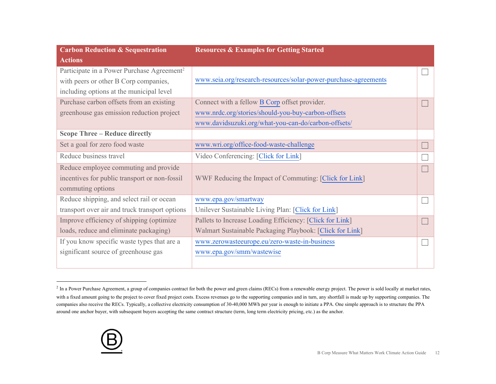| <b>Carbon Reduction &amp; Sequestration</b>            | <b>Resources &amp; Examples for Getting Started</b>             |  |
|--------------------------------------------------------|-----------------------------------------------------------------|--|
| <b>Actions</b>                                         |                                                                 |  |
| Participate in a Power Purchase Agreement <sup>2</sup> |                                                                 |  |
| with peers or other B Corp companies,                  | www.seia.org/research-resources/solar-power-purchase-agreements |  |
| including options at the municipal level               |                                                                 |  |
| Purchase carbon offsets from an existing               | Connect with a fellow B Corp offset provider.                   |  |
| greenhouse gas emission reduction project              | www.nrdc.org/stories/should-you-buy-carbon-offsets              |  |
|                                                        | www.davidsuzuki.org/what-you-can-do/carbon-offsets/             |  |
| <b>Scope Three - Reduce directly</b>                   |                                                                 |  |
| Set a goal for zero food waste                         | www.wri.org/office-food-waste-challenge                         |  |
| Reduce business travel                                 | Video Conferencing: [Click for Link]                            |  |
| Reduce employee commuting and provide                  |                                                                 |  |
| incentives for public transport or non-fossil          | WWF Reducing the Impact of Commuting: [Click for Link]          |  |
| commuting options                                      |                                                                 |  |
| Reduce shipping, and select rail or ocean              | www.epa.gov/smartway                                            |  |
| transport over air and truck transport options         | Unilever Sustainable Living Plan: [Click for Link]              |  |
| Improve efficiency of shipping (optimize               | Pallets to Increase Loading Efficiency: [Click for Link]        |  |
| loads, reduce and eliminate packaging)                 | Walmart Sustainable Packaging Playbook: [Click for Link]        |  |
| If you know specific waste types that are a            | www.zerowasteeurope.eu/zero-waste-in-business                   |  |
| significant source of greenhouse gas                   | www.epa.gov/smm/wastewise                                       |  |
|                                                        |                                                                 |  |

 $^2$  In a Power Purchase Agreement, a group of companies contract for both the power and green claims (RECs) from a renewable energy project. The power is sold locally at market rates, with a fixed amount going to the project to cover fixed project costs. Excess revenues go to the supporting companies and in turn, any shortfall is made up by supporting companies. The companies also receive the RECs. Typically, a collective electricity consumption of 30-40,000 MWh per year is enough to initiate a PPA. One simple approach is to structure the PPA around one anchor buyer, with subsequent buyers accepting the same contract structure (term, long term electricity pricing, etc.) as the anchor.

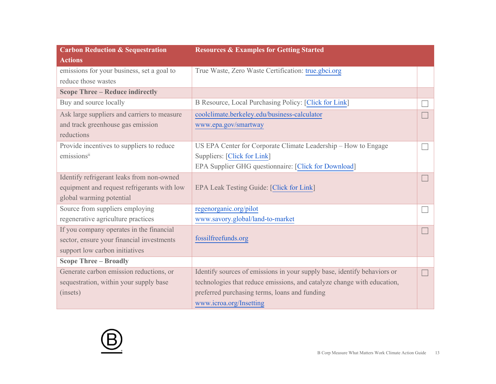| <b>Carbon Reduction &amp; Sequestration</b> | <b>Resources &amp; Examples for Getting Started</b>                      |  |
|---------------------------------------------|--------------------------------------------------------------------------|--|
| <b>Actions</b>                              |                                                                          |  |
| emissions for your business, set a goal to  | True Waste, Zero Waste Certification: true.gbci.org                      |  |
| reduce those wastes                         |                                                                          |  |
| <b>Scope Three – Reduce indirectly</b>      |                                                                          |  |
| Buy and source locally                      | B Resource, Local Purchasing Policy: [Click for Link]                    |  |
| Ask large suppliers and carriers to measure | coolclimate.berkeley.edu/business-calculator                             |  |
| and track greenhouse gas emission           | www.epa.gov/smartway                                                     |  |
| reductions                                  |                                                                          |  |
| Provide incentives to suppliers to reduce   | US EPA Center for Corporate Climate Leadership – How to Engage           |  |
| emissionsii                                 | Suppliers: [Click for Link]                                              |  |
|                                             | EPA Supplier GHG questionnaire: [Click for Download]                     |  |
| Identify refrigerant leaks from non-owned   |                                                                          |  |
| equipment and request refrigerants with low | EPA Leak Testing Guide: [Click for Link]                                 |  |
| global warming potential                    |                                                                          |  |
| Source from suppliers employing             | regenorganic.org/pilot                                                   |  |
| regenerative agriculture practices          | www.savory.global/land-to-market                                         |  |
| If you company operates in the financial    |                                                                          |  |
| sector, ensure your financial investments   | fossilfreefunds.org                                                      |  |
| support low carbon initiatives              |                                                                          |  |
| <b>Scope Three - Broadly</b>                |                                                                          |  |
| Generate carbon emission reductions, or     | Identify sources of emissions in your supply base, identify behaviors or |  |
| sequestration, within your supply base      | technologies that reduce emissions, and catalyze change with education,  |  |
| (insets)                                    | preferred purchasing terms, loans and funding                            |  |
|                                             | www.icroa.org/Insetting                                                  |  |

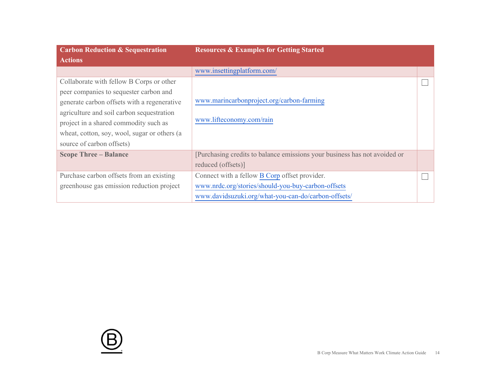| <b>Carbon Reduction &amp; Sequestration</b>  | <b>Resources &amp; Examples for Getting Started</b>                       |  |
|----------------------------------------------|---------------------------------------------------------------------------|--|
| <b>Actions</b>                               |                                                                           |  |
|                                              | www.insettingplatform.com/                                                |  |
| Collaborate with fellow B Corps or other     |                                                                           |  |
| peer companies to sequester carbon and       |                                                                           |  |
| generate carbon offsets with a regenerative  | www.marincarbonproject.org/carbon-farming                                 |  |
| agriculture and soil carbon sequestration    |                                                                           |  |
| project in a shared commodity such as        | www.lifteconomy.com/rain                                                  |  |
| wheat, cotton, soy, wool, sugar or others (a |                                                                           |  |
| source of carbon offsets)                    |                                                                           |  |
| <b>Scope Three - Balance</b>                 | [Purchasing credits to balance emissions your business has not avoided or |  |
|                                              | reduced (offsets)]                                                        |  |
| Purchase carbon offsets from an existing     | Connect with a fellow B Corp offset provider.                             |  |
| greenhouse gas emission reduction project    | www.nrdc.org/stories/should-you-buy-carbon-offsets                        |  |
|                                              | www.davidsuzuki.org/what-you-can-do/carbon-offsets/                       |  |

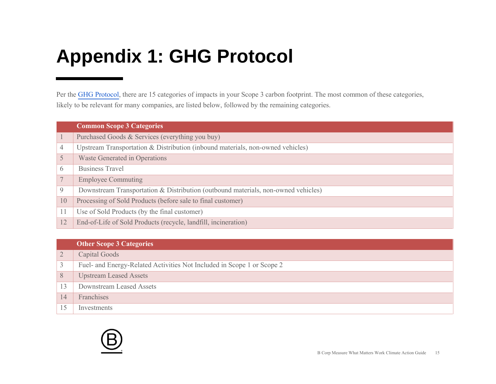## **Appendix 1: GHG Protocol**

Per the [GHG Protocol,](https://ghgprotocol.org/scope-3-technical-calculation-guidance) there are 15 categories of impacts in your Scope 3 carbon footprint. The most common of these categories, likely to be relevant for many companies, are listed below, followed by the remaining categories.

|          | <b>Common Scope 3 Categories</b>                                                  |
|----------|-----------------------------------------------------------------------------------|
|          | Purchased Goods & Services (everything you buy)                                   |
| 4        | Upstream Transportation & Distribution (inbound materials, non-owned vehicles)    |
| 5        | Waste Generated in Operations                                                     |
| $\theta$ | <b>Business Travel</b>                                                            |
| 7        | <b>Employee Commuting</b>                                                         |
| 9        | Downstream Transportation & Distribution (outbound materials, non-owned vehicles) |
| 10       | Processing of Sold Products (before sale to final customer)                       |
| 11       | Use of Sold Products (by the final customer)                                      |
| 12       | End-of-Life of Sold Products (recycle, landfill, incineration)                    |

#### **Other Scope 3 Categories**

|    | Capital Goods                                                          |
|----|------------------------------------------------------------------------|
| 3  | Fuel- and Energy-Related Activities Not Included in Scope 1 or Scope 2 |
| 8  | <b>Upstream Leased Assets</b>                                          |
|    | Downstream Leased Assets                                               |
| 14 | Franchises                                                             |
|    | Investments                                                            |